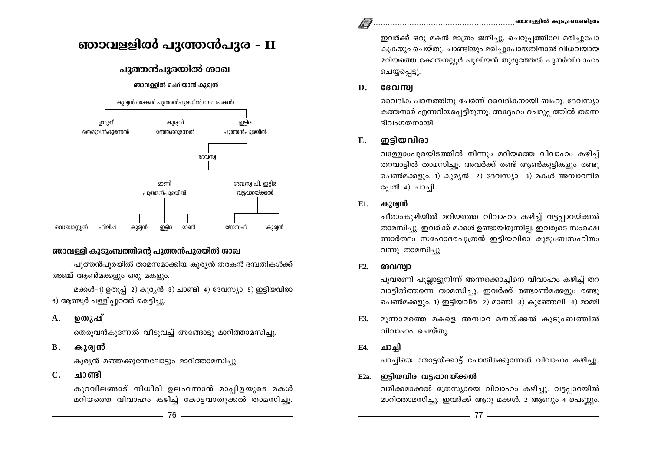ഇവർക്ക് ഒരു മകൻ മാത്രം ജനിച്ചു. ചെറുപ്പത്തിലേ മരിച്ചുപോ കുകയും ചെയ്തു. ചാണ്ടിയും മരിച്ചുപോയതിനാൽ വിധവയായ മറിയത്തെ കോതനല്ലൂർ പുലിയൻ തുരുത്തേൽ പുനർവിവാഹം ചെയ്യപ്പെട്ടു.

#### D. ദേവസ്വ

വൈദിക പഠനത്തിനു ചേർന്ന് വൈദികനായി ബഹു. ദേവസ്യാ കത്തനാർ എന്നറിയപ്പെട്ടിരുന്നു. അദ്ദേഹം ചെറുപ്പത്തിൽ തന്നെ ദിവംഗതനായി.

#### ഇടിയവിരാ  $E_{\star}$

വള്ളോംപുരയിടത്തിൽ നിന്നും മറിയത്തെ വിവാഹം കഴിച്ച് തറവാട്ടിൽ താമസിച്ചു. അവർക്ക് രണ്ട് ആൺകുട്ടികളും രണ്ടു പെൺമക്കളും. 1) കുര്യൻ 2) ദേവസ്യാ 3) മകൾ അമ്പാറനിര പ്പേൽ 4) ചാച്ചി.

#### കുര്വൻ E1.

ചീരാംകുഴിയിൽ മറിയത്തെ വിവാഹം കഴിച്ച് വട്ടപ്പാറയ്ക്കൽ താമസിച്ചു. ഇവർക്ക് മക്കൾ ഉണ്ടായിരുന്നില്ല. ഇവരുടെ സംരക്ഷ ണാർത്ഥം സഹോദരപുത്രൻ ഇട്ടിയവിരാ കുടുംബസഹിതം വന്നു താമസിച്ചു.

#### E2. ദേവസ്വാ

പുവരണി പുല്ലാട്ടുനിന്ന് അന്നക്കൊച്ചിനെ വിവാഹം കഴിച്ച് തറ വാട്ടിൽത്തന്നെ താമസിച്ചു. ഇവർക്ക് രണ്ടാൺമക്കളും രണ്ടു പെൺമക്കളും. 1) ഇട്ടിയവിര 2) മാണി 3) കുഞ്ഞേലി 4) മാമ്മി

മൂന്നാമത്തെ മകളെ അമ്പാറ മനയ്ക്കൽ കുടുംബത്തിൽ E3. വിവാഹം ചെയ്തു.

#### **F4.** ചാചി

ചാച്ചിയെ തോട്ടയ്ക്കാട്ട് ചോതിരക്കുന്നേൽ വിവാഹം കഴിച്ചു.

#### ഇടിയവിര വടപ്പാറയ്ക്കൽ  $E2a$

വരിക്കമാക്കൽ ത്രേസ്യായെ വിവാഹം കഴിച്ചു. വട്ടപ്പാറയിൽ മാറിത്താമസിച്ചു. ഇവർക്ക് ആറു മക്കൾ. 2 ആണും 4 പെണ്ണും.



# പുത്തൻപുരയിൽ ശാഖ



# ഞാവള്ളി കുടുംബത്തിന്റെ പുത്തൻപുരയിൽ ശാഖ

പൂത്തൻപൂരയിൽ താമസമാക്കിയ കൂര്യൻ തരകൻ ദമ്പതികൾക്ക് അഞ്ച് ആൺമക്കളും ഒരു മകളും.

മക്കൾ-1) ഉതുപ്പ് 2) കുര്യൻ 3) ചാണ്ടി 4) ദേവസ്യാ 5) ഇട്ടിയവിരാ 6) ആണ്ടൂർ പള്ളിപ്പുറത്ത് കെട്ടിച്ചു.

#### ഉതാപ്പ്  $\mathbf{A}$ .

തെരുവൻകുന്നേൽ വീടുവച്ച് അങ്ങോട്ടു മാറിത്താമസിച്ചു.

#### **B.** കുര്വൻ

കുര്യൻ മഞ്ഞക്കുന്നേലോട്ടും മാറിത്താമസിച്ചു.

#### $C_{\bullet}$ ചാണ്ടി

കുറവിലങ്ങാട് നിധീരി ഉലഹന്നാൻ മാപ്പിളയുടെ മകൾ മറിയത്തെ വിവാഹം കഴിച്ച് കോട്ടവാതുക്കൽ താമസിച്ചു.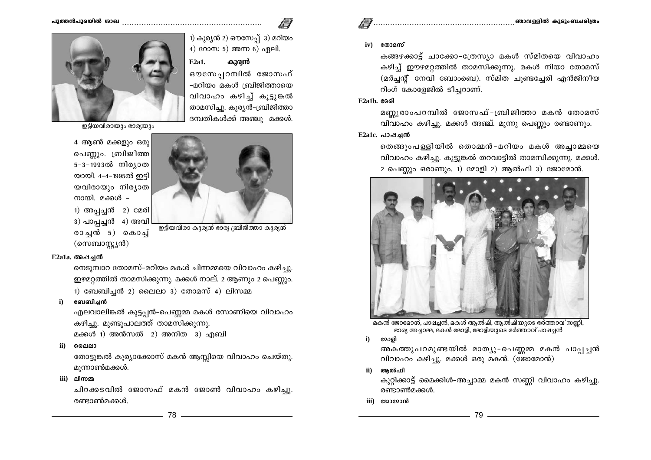#### പാത്തൻപാരയിൽ ശാഖ



ഇട്ടിയവിരായും ഭാര്യയും

4 ആൺ മക്കളും ഒരു പെണ്ണും. ബ്രിജീത്ത 5-3-1993ൽ നിര്യാത യായി. 4-4-1995ൽ ഇട്ടി യവിരായും നിര്യാത നായി. മക്കൾ – 1) അപ്പച്ചൻ 2) മേരി



കാരൻ

 $3)$  പാപ്പച്ചൻ  $4)$  അവി രാച്ചൻ 5) കൊച്ച് (സെബാസ്റ്റ്യൻ)

.<br>ഇട്ടിയവിരാ കുര്യൻ ഭാര്യ ബ്രിജീത്താ കുര്യൻ

#### E2a1a. അപ്പചൻ

നെടുമ്പാറ തോമസ്-മറിയം മകൾ ചിന്നമ്മയെ വിവാഹം കഴിച്ചു. ഈമറ്റത്തിൽ താമസിക്കുന്നു. മക്കൾ നാല്. 2 ആണും 2 പെണ്ണും. 1) ബേബിച്ചൻ 2) ലൈലാ 3) തോമസ് 4) ലിസമ്മ

#### ബേബിചൻ

എലവാലിങ്കൽ കുട്ടപ്പൻ-പെണ്ണമ്മ മകൾ സോണിയെ വിവാഹം കഴിച്ചു. മുണ്ടുപാലത്ത് താമസിക്കുന്നു.

മക്കൾ 1) അൻസൽ 2) അനിത 3) എബി

 $\mathbf{ii}$ ലൈലാ

> തോട്ടുങ്കൽ കുര്യാക്കോസ് മകൻ ആസ്സിയെ വിവാഹം ചെയ്തു. മൂന്നാൺമക്കൾ.

iii) ലിസമ്മ

ചിറക്കടവിൽ ജോസഫ് മകൻ ജോൺ വിവാഹം കഴിച്ചു. രണ്ടാൺമക്കൾ.

 $iv)$   $\cos 2\pi v$ 

കങ്ങഴക്കാട്ട് ചാക്കോ-ത്രേസ്യാ മകൾ സ്മിതയെ വിവാഹം കഴിച്ച് ഈഴമറ്റത്തിൽ താമസിക്കുന്നു. മകൾ നിയാ തോമസ് (മർച്ചന്റ് നേവി ബോംബെ). സ്മിത ചൂണ്ടച്ചേരി എൻജിനീയ റിംഗ് കോളേജിൽ ടീച്ചറാണ്.

#### $E2a1b$ ,  $aqa$

മണ്ണൂരാംപറമ്പിൽ ജോസഫ്-ബ്രിജിത്താ മകൻ തോമസ് വിവാഹം കഴിച്ചു. മക്കൾ അഞ്ച്. മൂന്നു പെണ്ണും രണ്ടാണും.

#### $E2a1c.$  പാപ്പച്ചൻ

തെങ്ങുംപള്ളിയിൽ തൊമ്മൻ-മറിയം മകൾ അച്ചാമ്മയെ വിവാഹം കഴിച്ചു. കൂട്ടുങ്കൽ തറവാട്ടിൽ താമസിക്കുന്നു. മക്കൾ. 2 പെണ്ണും ഒരാണും. 1) മോളി 2) ആൽഫി 3) ജോമോൻ.



മകൻ ജോമോൻ, പാഷച്ചൻ, മകൾ ആൽപി, ആൽപിയുടെ ഭർത്താവ് സണ്ണി, ഭാര്യ അച്ചാമ്മ, മകൾ മോളി, മോളിയുടെ ഭർത്താവ് പാഷച്ചൻ

 $i)$ മോരി

> അകത്തുപറമുണ്ടയിൽ മാത്യു-പെണ്ണമ്മ മകൻ പാപ്പച്ചൻ വിവാഹം കഴിച്ചു. മക്കൾ ഒരു മകൻ. (ജോമോൻ)

ആൽഫി ii)

> കുറ്റിക്കാട്ട് മൈക്കിൾ-അച്ചാമ്മ മകൻ സണ്ണി വിവാഹം കഴിച്ചു. രണ്ടാൺമക്കൾ.

iii) യോമോൻ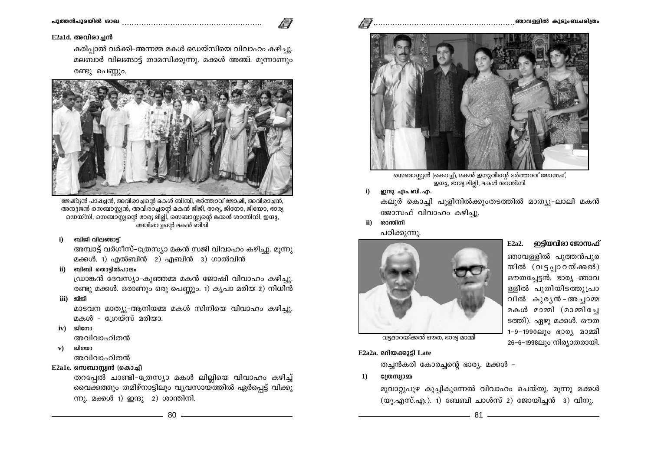

കരിപ്പാൽ വർക്കി-അന്നമ്മ മകൾ ഡെയ്സിയെ വിവാഹം കഴിച്ചു. മലബാർ വിലങ്ങാട്ട് താമസിക്കുന്നു. മക്കൾ അഞ്ച്. മൂന്നാണും രണ്ടു പെണ്ണും.



ജേഷ്ഠ്യൻ പാഷച്ചൻ, അവിരാച്ചന്റെ മകൾ ബിബി, ഭർത്താവ് ജോഷി, അവിരാച്ചൻ, അനുജൻ സെബാസ്സൻ, അവിരാച്ചന്റെ മകൻ ജിജി, ഭാര്യ, ജിനോ, ജിയോ, ഭാര്യ യെയ്സി, സെബാസ്റ്റന്റെ ഭാര്യ ലില്ലി, സെബാസ്റ്റന്റെ മക്കൾ ശാന്തിനി, ഇന്ദു, .<br>അവിരാച്ച്നെർ മകൾ ബിജി

#### ബിജി വിലങ്ങാട്ട്  $i)$

അമ്പാട്ട് വർഗീസ്-ത്രേസ്യാ മകൻ സജി വിവാഹം കഴിച്ചു. മൂന്നു മക്കൾ. 1) എൽബിൻ 2) എബിൻ 3) ഗാൽവിൻ

ii) ബിബി തൊട്ടിൽപാലം

ഡ്രാങ്കൻ ദേവസ്യാ-കുഞ്ഞമ്മ മകൻ ജോഷി വിവാഹം കഴിച്ചു. രണ്ടു മക്കൾ. ഒരാണും ഒരു പെണ്ണും. 1) കൃപാ മരിയ 2) നിധിൻ

iii) ജിജി

മാടവന മാത്യു-ആനിയമ്മ മകൾ സിനിയെ വിവാഹം കഴിച്ചു. മകൾ - ഗ്രേയ്സ് മരിയാ.

 $iv)$   $\mathfrak{A}$   $\mathfrak{A}$   $\mathfrak{A}$   $\mathfrak{A}$ 

അവിവാഹിതൻ

ഇിസോ  $\mathbf{v}$ )

അവിവാഹിതൻ

# $E2$ a1e. സെബാസ്റ്റ്വൻ (കൊച്ച്)

തറപ്പേൽ ചാണ്ടി-ത്രേസ്യാ മകൾ ലില്ലിയെ വിവാഹം കഴിച്ച് വൈക്കത്തും തമിഴ്നാട്ടിലും വൃവസായ്ത്തിൽ ഏർപ്പെട്ട് വിക്കു ന്നു. മക്കൾ 1) ഇന്ദു 2) ശാന്തിനി.



സെബാസ്റ്റ്യൻ (കൊച്ച്), മകൾ ഇന്ദുവിന്റെ ഭർത്താവ് ജോസഷ്, ഇന്ദു, ഭാര്യ ലില്ലി, മകൾ ശാന്തിനി

 $\ddot{\mathbf{i}}$ ഇന്ദു എം. ബി. എ.

കലുർ കൊച്ചി പുളിനിൽക്കുംതടത്തിൽ മാത്യു-ലാലി മകൻ ജോസഫ് വിവാഹം കഴിച്ചു.

 $\mathbf{ii}$ ശാന്തിനി പഠിക്കുന്നു.



 $E2a2.$  ഇട്ടിയവിരാ ജോസഫ്

ഞാവള്ളിൽ പുത്തൻപുര യിൽ (വട്ടപ്പാറയ്ക്കൽ) ഔതച്ചേട്ടൻ. ഭാര്യ ഞാവ ള്ളിൽ പുതിയിടത്തുപ്രാ വിൽ കുരൃൻ-അച്ചാമ്മ മകൾ മാമ്മി (മാമ്മിച്ചേ ടത്തി). ഏഴു മക്കൾ. ഔത 1-9-1990ലും ഭാര്യ മാമ്മി 26-6-1998ലും നിര്യാതരായി.

വട്ടഷാറയ്ക്കൽ ഔത, ഭാര്യ മാമ്മി

# E2a2a. 2010 ออการ์า Late

തച്ചൻകരി കോരച്ചന്റെ ഭാര്യ. മക്കൾ –

ന്തേസ്വാമ്മ  $\mathbf{1}$ 

> മുവാറ്റുപുഴ കുച്ചികുന്നേൽ വിവാഹം ചെയ്തു. മുന്നു മക്കൾ  $(\omega)$ .എസ്.എ.). 1) ബേബി ചാൾസ് 2) ജോയിച്ചൻ 3) വിനു.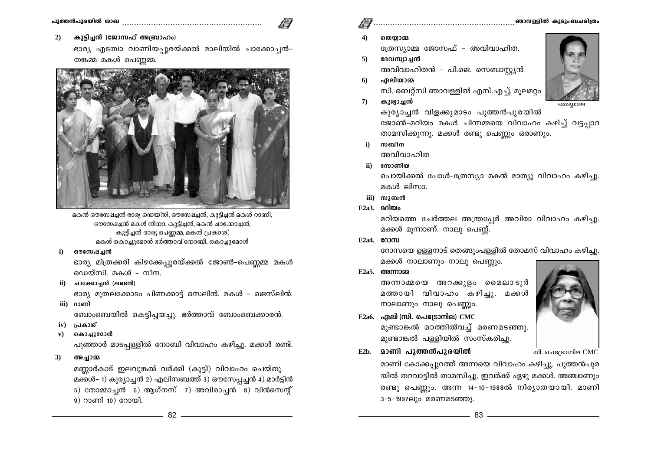കുട്ടിച്ചൻ (ജോസഫ് അബ്രാഹം)  $2)$ 

> ഭാര്യ എടത്വാ വാണിയപ്പുരയ്ക്കൽ മാലിയിൽ ചാക്കോച്ചൻ-തങ്കമ്മ മകൾ പെണ്ണമ്മ.



മകൻ ഔസേഷച്ചൻ ഭാര്യ ഡെയ്സി, ഔസേഷച്ചൻ, കുട്ടിച്ചൻ മകൾ റാണി, ഔസേഷച്ചൻ മകൾ നീനാ, കുട്ടിച്ചൻ, മകൻ ചാക്കോച്ചൻ, കുട്ടിച്ചൻ ഭാര്യ പെണ്ണമ്മ, മകൻ പ്രകാശ്, മകൾ കൊച്ചുമോൾ ഭർത്താവ് നോബി, കൊച്ചുമോൾ

 $i)$ ഔന്ധേപച്ചൻ

> ഭാര്യ മിത്രക്കരി കിഴക്കേപ്പുരയ്ക്കൽ ജോൺ-പെണ്ണമ്മ മകൾ ഡെയ്സി. മകൾ - നീന.

 $ii)$  ചാക്കോച്ചൻ (ലണ്ടൻ)

ഭാര്യ മുതലക്കോടം പിണക്കാട്ട് സെലിൻ. മകൾ - ജെസ്ലിൻ. iii) രാണി

ബോംബെയിൽ കെട്ടിച്ചയച്ചു. ഭർത്താവ് ബോംബെക്കാരൻ.

- iv) പ്രകാശ്
- ${\bf v})$ കൊച്ചുമോൾ

പൂഞ്ഞാർ മാടപ്പള്ളിൽ നോബി വിവാഹം കഴിച്ചു. മക്കൾ രണ്ട്.

അച്ചാമ്മ  $3)$ 

മണ്ണാർകാട് ഇലവുങ്കൽ വർക്കി (കുട്ടി) വിവാഹം ചെയ്തു. മക്കൾ– 1) കുര്യാച്ചൻ 2) എലിസബത്ത് 3) ഔസേപ്പൻ 4) മാർട്ടിൻ 5) തോമ്മാച്ചൻ 6) ആഗ്നസ് 7) അവിരാച്ചൻ 8) വിൻസെന്റ് 9) റാണി 10) റോയി.

- 
- തെയാമ്മ ത്രേസ്യാമ്മ ജോസഫ് - അവിവാഹിത.
- ദേവസ്വാചൻ  $5<sup>1</sup>$ അവിവാഹിതൻ - പി.ജെ. സെബാസ്ല്യൻ
- ഏലിയാമ 6 സി. ബെറ്റ്സി ഞാവള്ളിൽ എസ്.എച്ച്. മൂലമറ്റം
- കുര്വാച്ചൻ  $\mathcal{D}$



തെയ്യാമ്മ

കുര്യാച്ചൻ വിളക്കുമാടം പുത്തൻപുരയിൽ ജോൺ-മറിയം മകൾ ചിന്നമ്മയെ വിവാഹം കഴിച്ച് വട്ടപ്പാറ താമസിക്കുന്നു. മക്കൾ രണ്ടു പെണ്ണും ഒരാണും.

സബീന  $\ddot{\mathbf{i}}$ അവിവാഹിത

സോണിയ  $\mathbf{ii}$ 

പൊയിക്കൽ പോൾ-ത്രേസ്യാ മകൻ മാത്യു വിവാഹം കഴിച്ചു. മകൾ ലിസാ.

- iii) സുബൻ
- $E2a3.$  20 $0\omega$

മറിയത്തെ ചേർത്തല അന്ത്രപ്പേർ അവിരാ വിവാഹം കഴിച്ചു. മക്കൾ മുന്നാണ്. നാലു പെണ്ണ്.

 $E2a4.$   $@03$ m

റോസയെ ഉള്ളനാട് തെങ്ങുംപള്ളിൽ തോമസ് വിവാഹം കഴിച്ചു. മക്കൾ നാലാണും നാലു പെണ്ണും.

 $E2a5.$  com $m$ 

അന്നാമ്മയെ അറക്കുളം മൈലാടുർ മത്തായി വിവാഹം കഴിച്ചു. മക്കൾ നാലാണും നാലു പെണ്ണും.

- $E2a6.$  ഏലി (സി. പെട്രോനില)  $CMC$ മുണ്ടാങ്കൽ മഠത്തിൽവച്ച് മരണമടഞ്ഞു. മുണ്ടാങ്കൽ പള്ളിയിൽ സംസ്കരിച്ചു.
- **മാണി പുത്തൻപുരയിൽ**  $E2<sub>b</sub>$

മാണി കോക്കപ്പുറത്ത് അന്നയെ വിവാഹം കഴിച്ചു. പുത്തൻപുര യിൽ തറവാട്ടിൽ താമസിച്ചു. ഇവർക്ക് ഏഴു മക്കൾ. അഞ്ചാണും രണ്ടു പെണ്ണും. അന്ന 14-10-1988ൽ നിര്യാതയായി. മാണി 3-5-1997ലും മരണമടഞ്ഞു.

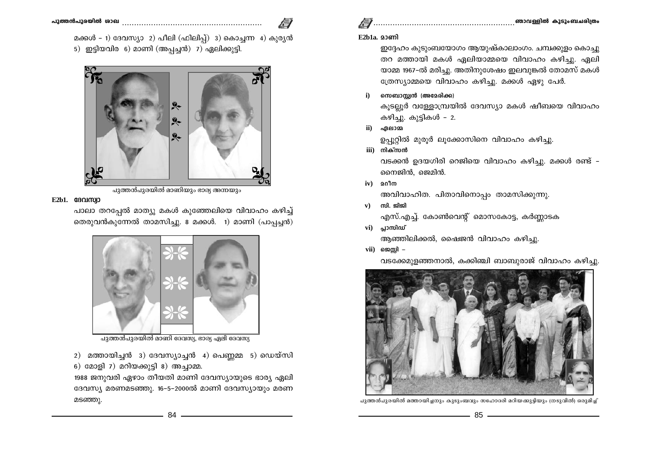മക്കൾ – 1) ദേവസ്യാ 2) പീലി (ഫിലിപ്പ്) 3) കൊച്ചന്ന 4) കുര്യൻ 5) ഇട്ടിയവിര 6) മാണി (അപ്പച്ചൻ) 7) ഏലിക്കുട്ടി.



പുത്തൻപുരയിൽ മാണിയും ഭാര്യ അന്നയും

#### $E2b1.$  GB $Q1$  $Q1$  $Q1$  $Q1$  $Q1$

പാലാ തറപ്പേൽ മാത്യു മകൾ കുഞ്ഞേലിയെ വിവാഹം കഴിച്ച് തെരുവൻകുന്നേൽ താമസിച്ചു. 8 മക്കൾ. 1) മാണി (പാപ്പച്ചൻ)



പുത്തൻപുരയിൽ മാണി ദേവസ്യ, ഭാര്യ ഏലി ദേവസ്യ

2) മത്തായിച്ചൻ 3) ദേവസ്യാച്ചൻ 4) പെണ്ണമ്മ 5) ഡെയ്സി 6) മോളി 7) മറിയക്കുട്ടി 8) അച്ചാമ്മ.

1988 ജനുവരി ഏഴാം തീയതി മാണി ദേവസ്യായുടെ ഭാര്യ ഏലി ദേവസ്യ മരണമടഞ്ഞു. 16-5-2000ൽ മാണി ദേവസ്യായും മരണ മടഞ്ഞു.

 $E2h1a$ ,  $93em1$ 

ഇദ്ദേഹം കൂടുംബയോഗം ആയുഷ്കാലാംഗം. ചമ്പക്കുളം കൊച്ചു തറ മത്തായി മകൾ ഏലിയാമ്മയെ വിവാഹം കഴിച്ചു. ഏലി യാമ്മ 1967-ൽ മരിച്ചു. അതിനുശേഷം ഇലവുങ്കൽ തോമസ് മകൾ ത്രേസ്യാമ്മയെ വിവാഹം കഴിച്ചു. മക്കൾ ഏഴു പേർ.

സെബാസ്സൻ (അമേരിക്ക)  $i)$ 

> കൂടല്ലൂർ വള്ളോമ്പ്രയിൽ ദേവസ്യാ മകൾ ഷീബയെ വിവാഹം കഴിച്ചു. കുട്ടികൾ - 2.

ii) ഏലാമ

ഉപ്പൂറ്റിൽ മുരൂർ ലൂക്കോസിനെ വിവാഹം കഴിച്ചു.

iii) നിക്സൻ

വടക്കൻ ഉദയഗിരി റെജിയെ വിവാഹം കഴിച്ചു. മക്കൾ രണ്ട് -നൈജിൻ, ജെമിൻ.

 $iv)$  201 $m$ 

അവിവാഹിത. പിതാവിനൊപം താമസിക്കുന്നു.

- സി. ജിജി  $\mathbf{v}$ ) എസ്.എച്ച്. കോൺവെന്റ് മൊസകോട്ട, കർണ്ണാടക
- vi) പ്ലാസിഡ് ആഞ്ഞിലിക്കൽ, ഷൈജൻ വിവാഹം കഴിച്ചു.
- $vii)$  ജെസി –

വടക്കേമുളഞ്ഞനാൽ, കക്കിഞ്ചി ബാബുരാജ് വിവാഹം കഴിച്ചു.



പുത്തൻപുരയിൽ മത്തായിച്ചനും കുടുംബവും സഹോദരി മറിയക്കുട്ടിയും (നടുവിൽ) ഒരുമിച്ച്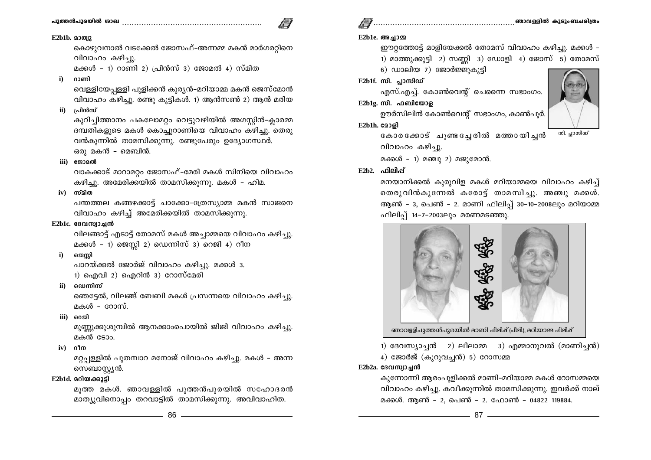# പാത്തൻപുരയിൽ രാഖ സാധവന സാധന സാധന സാധന സാധാ

വിവാഹം കഴിച്ചു.

ഒരു മകൻ – മെബിൻ.

E2b1b. 200012

റാണി

പ്രിൻസ്

iii) യോമൽ

 $iv)$  സ്മിത

 $\ddot{\mathbf{i}}$ 

 $\mathbf{ii}$ 

# 

## E2b1e. അചാമ

ഈറ്റത്തോട്ട് മാളിയേക്കൽ തോമസ് വിവാഹം കഴിച്ചു. മക്കൾ – 1) മാത്തുക്കുട്ടി 2) സണ്ണി 3) ഡോളി 4) ജോസ് 5) തോമസ്

6) ഡാലിയ 7) ജോർജ്ജുകുട്ടി

## $E2b1f$ . സി. പാസിഡ്

എസ്.എച്ച്. കോൺവെന്റ് ചെന്നൈ സഭാംഗം.  $E2b1e$ , സി. ഫബിയോള

ഊർസിലിൻ കോൺവെന്റ് സഭാംഗം, കാൺപൂർ.

### E2b1h. 2009]

കോരക്കോട് ചൂണ്ടച്ചേരിൽ മത്തായിച്ചൻ വിവാഹം കഴിച്ചു. മക്കൾ - 1) മഞ്ചു 2) മജുമോൻ.

## $E2b2.$   $\Omega$ ella $\tilde{d}$

മനയാനിക്കൽ കുരുവിള മകൾ മറിയാമ്മയെ വിവാഹം കഴിച്ച് തെരുവിൻകൂന്നേൽ കരോട്ട് താമസിച്ചു. അഞ്ചു മക്കൾ. ആൺ – 3, പെൺ – 2. മാണി ഫിലിപ്പ് 30–10–2008ലും മറിയാമ്മ ഫിലിപ് 14-7-2003ലും മരണമടഞ്ഞു.



1) ദേവസ്യാച്ചൻ 2) ലീലാമ്മ 3) എമ്മാനുവൽ (മാണിച്ചൻ)

4) ജോർജ് (കുറുവച്ചൻ) 5) റോസമ്മ

## $E2b2a.$  ദേവസ്വാച്ചൻ

കുന്നോന്നി ആരംപുളിക്കൽ മാണി-മറിയാമ്മ മകൾ റോസമ്മയെ വിവാഹം കഴിച്ചു. കവീക്കുന്നിൽ താമസിക്കുന്നു. ഇവർക്ക് നാല് മക്കൾ. ആൺ – 2, പെൺ – 2, ഫോൺ – 04822 119884.





പന്തത്തല കങ്ങഴക്കാട്ട് ചാക്കോ-ത്രേസ്യാമ്മ മകൻ സാജനെ വിവാഹം കഴിച്ച് അമേരിക്കയിൽ താമസിക്കുന്നു. E2b1c. ദേവസ്വാചൻ

വിലങ്ങാട്ട് എടാട്ട് തോമസ് മകൾ അച്ചാമ്മയെ വിവാഹം കഴിച്ചു. മക്കൾ - 1) ജെസ്സി 2) ഡെന്നിസ് 3) റെജി 4) റീന

കൊഴുവനാൽ വടക്കേൽ ജോസഫ്–അന്നമ്മ മകൻ മാർഗരറ്റിനെ

വെള്ളിയേപള്ളി പൂളിക്കൻ കൂര്യൻ-മറിയാമ്മ മകൻ ജെസ്മോൻ

വിവാഹം കഴിച്ചു. രണ്ടു കുട്ടികൾ. 1) ആൻസൺ 2) ആൻ മരിയ

കുറിച്ചിത്താനം പകലോമറ്റം വെട്ടുവഴിയിൽ അഗസ്കിൻ-ക്ലാരമ്മ

ദമ്പതികളുടെ മകൾ കൊച്ചുറാണിയെ വിവാഹം കഴിച്ചു. തെരു

വാകക്കാട് മാറാമറ്റം ജോസഫ്-മേരി മകൾ സിനിയെ വിവാഹം

വൻകുന്നിൽ താമസിക്കുന്നു. രണ്ടുപേരും ഉദ്യോഗസ്ഥർ.

കഴിച്ചു. അമേരിക്കയിൽ താമസിക്കുന്നു. മകൾ – ഹിമ.

മക്കൾ - 1) റാണി 2) പ്രിൻസ് 3) ജോമൽ 4) സ്മിത

#### ജെസി  $i)$

പാറയ്ക്കൽ ജോർജ് വിവാഹം കഴിച്ചു. മക്കൾ 3. 1) ഐവി 2) ഐറിൻ 3) റോസ്മേരി

ii) ഡെന്നിസ്

ഞെട്ടേൽ, വിലങ്ങ് ബേബി മകൾ പ്രസന്നയെ വിവാഹം കഴിച്ചു. മകൾ - റോസ്.

iii) റെജി

മുണ്ണുക്കുശുമ്പിൽ ആനക്കാംപൊയിൽ ജിജി വിവാഹം കഴിച്ചു. മകൻ ടോം.

iv) olm

മറ്റപ്പള്ളിൽ പുതമ്പാറ മനോജ് വിവാഹം കഴിച്ചു. മകൾ – അന്ന സെബാസ്കൃൻ.

## E2b1d. മറിയക്കുട്ടി

മുത്ത മകൾ. ഞാവള്ളിൽ പുത്തൻപുരയിൽ സഹോദരൻ മാത്യുവിനൊപ്പം തറവാട്ടിൽ താമസിക്കുന്നു. അവിവാഹിത.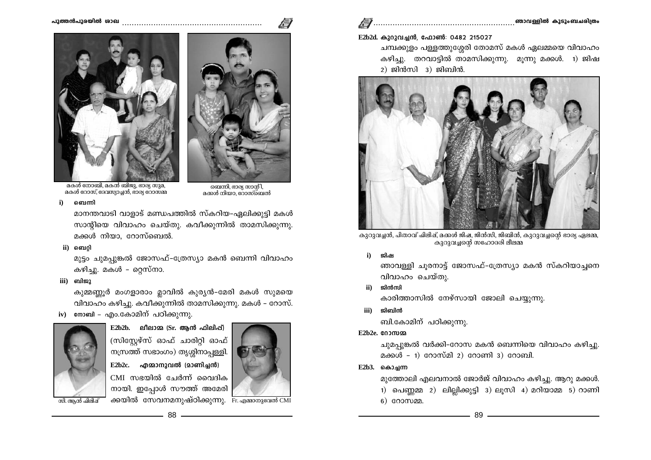

## E2b2d. കുറുവച്ചൻ, ഫോൺ: 0482 215027

ചമ്പക്കുളം പള്ളത്തുശ്ശേരി തോമസ് മകൾ ഏലമ്മയെ വിവാഹം കഴിച്ചു. തറവാട്ടിൽ താമസിക്കുന്നു. മൂന്നു മക്കൾ. 1) ജിഷ  $2)$  ജിൻസി  $3)$  ജിബിൻ.



കുറുവച്ചൻ, പിതാവ് പിലിഷ്, മക്കൾ ജിഷ, ജിൻസി, ജിബിൻ, കുറുവച്ചന്റെ ഭാര്യ ഏലമ്മ, .<br>കുറുവച്ചന്റെ സഹോദരി ലീലമ്മ

ജിഷ  $i)$ 

> ഞാവള്ളി ചൂരനാട്ട് ജോസഫ്-ത്രേസ്യാ മകൻ സ്കറിയാച്ചനെ വിവാഹം ചെയ്തു.

ജിൻസി  $\mathbf{ii}$ 

കാരിത്താസിൽ നേഴ്സായി ജോലി ചെയ്യുന്നു.

ജിബിൻ iii)

ബി.കോമിന് പഠിക്കുന്നു.

 $E2h2e$ ,  $g02m2$ 

ചുമപ്പുങ്കൽ വർക്കി-റോസ മകൻ ബെന്നിയെ വിവാഹം കഴിച്ചു. മക്കൾ - 1) റോസ്മി 2) റോണി 3) റോബി.

 $E2b3.$  കൊചന്ന

മുത്തോലി എലവനാൽ ജോർജ് വിവാഹം കഴിച്ചു. ആറു മക്കൾ. 1) പെണ്ണമ്മ 2) ലില്ലിക്കുട്ടി 3) ലൂസി 4) മറിയാമ്മ 5) റാണി  $6)$  coomen.

 $\overline{\phantom{a}}$  89  $\overline{\phantom{a}}$  89  $\overline{\phantom{a}}$ 



മകൾ നോബി, മകൻ ബിജു, ഭാര്യ സുമ, മകൾ റോസ്, ദേവസ്യാച്ചൻ, ഭാര്യ റോസ്മ്മ

ബെന്നി  $\ddot{\mathbf{i}}$ 

> മാനന്തവാടി വാളാട് മണ്ഡപത്തിൽ സ്കറിയ-ഏലിക്കുട്ടി മകൾ സാന്റിയെ വിവാഹം ചെയ്തു. കവീക്കുന്നിൽ താമസിക്കുന്നു. മക്കൾ നിയാ, റോസ്ബെൽ.

ii) ബെറി

മുട്ടം ചുമപ്പുങ്കൽ ജോസഫ്-ത്രേസ്യാ മകൻ ബെന്നി വിവാഹം കഴിച്ചു. മകൾ – റ്റെസ്നാ.

iii) ബിജു

കുമ്മണ്ണൂർ മംഗളാരാം മ്ലാവിൽ കുര്യൻ-മേരി മകൾ സുമയെ വിവാഹം കഴിച്ചു. കവീക്കുന്നിൽ താമസിക്കുന്നു. മകൾ – റോസ്.

iv) നോബി – എം.കോമിന് പഠിക്കുന്നു.



 $E2b2b$ . ലീലാമ (Sr. ആൻ ഫിലിപ്പ്) (സിസ്റ്റേഴ്സ് ഓഫ് ചാരിറ്റി ഓഫ് നസ്രത്ത് സഭാംഗം) തൃശ്ശിനാപ്പള്ളി.  $E2b2c.$  എമ്മാനുവൽ (മാണിച്ചൻ) CMI സഭയിൽ ചേർന്ന് വൈദിക നായി. ഇപ്പോൾ സൗത്ത് അമേരി



.<br>തബന്നി, ഭാര്യ സാന്റി,<br>മക്കൾ നിയാ, റോസ്ബെൽ

സി. ആൻ ഫിലിഷ്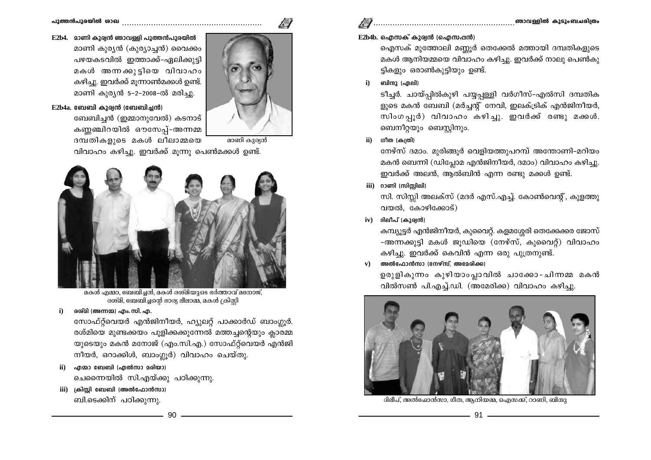

# E2b4. മാണി കുര്വൻ ഞാവള്ളി പുത്തൻപുരയിൽ



മാണി കുര്യൻ

മാണി കുര്യൻ (കുര്യാച്ചൻ) വൈക്കം പഴയകടവിൽ ഇത്താക്ക്-ഏലിക്കുട്ടി മകൾ അന്നക്കുട്ടിയെ വിവാഹം കഴിച്ചു. ഇവർക്ക് മുന്നാൺമക്കൾ ഉണ്ട്. മാണി കുര്യൻ 5-2-2008-ൽ മരിച്ചു.

### $E2b4a$ . ബേബി കുര്വൻ (ബേബിച്ചൻ)

ബേബിച്ചൻ (ഇമ്മാനുവേൽ) കടനാട് കണ്ണഞ്ചിറയിൽ ഔസേപ്പ്-അന്നമ്മ ദമ്പതികളുടെ മകൾ ലീലാമ്മയെ വിവാഹം കഴിച്ചു. ഇവർക്ക് മുന്നു പെൺമക്കൾ ഉണ്ട്.



മകൾ എമ്മാ, ബേബിച്ചൻ, മകൾ രശ്മിയുടെ ഭർത്താവ് മനോജ്, രശ്മി, ബേബിച്ചന്റെ ഭാര്യ ലീലാമ്മ, മകൾ ക്രിസ്റ്റി

രശ്മി (അന്നമ്മ) എം. സി. എ.

സോഫ്റ്റ്വെയർ എൻജിനീയർ, ഹ്യൂലറ്റ് പാക്കാർഡ് ബാംഗ്ലൂർ. രശ്മിയെ മുണ്ടക്കയം പുളിക്കക്കുന്നേൽ മത്തച്ചന്റെയും ക്ലാരമ്മ യുടെയും മകൻ മനോജ് (എം.സി.എ.) സോഫ്റ്റ്വെയർ എൻജി നീയർ, ഒറാക്കിൾ, ബാംഗ്ലർ) വിവാഹം ചെയ്തു.

- ii) എമ്മാ ബേബി (എൽസാ മരിയാ) ചെന്നൈയിൽ സി.എയ്ക്കു പഠിക്കുന്നു.
- iii) ക്രിസ്റ്റി ബേബി (അൽഫോൻസാ) ബി.ടെക്കിന് പഠിക്കുന്നു.

## $E2b4b$ . ഐസക് കുര്യൻ (ഐസപ്പൻ)

ഐസക് മുത്തോലി മണ്ണർ തെക്കേൽ മത്തായി ദമ്പതികളുടെ മകൾ ആനിയമ്മയെ വിവാഹം കഴിച്ചു. ഇവർക്ക് നാലു പെൺകു ട്ടികളും ഒരാൺകുട്ടിയും ഉണ്ട്.

ബിന്ദു (ഏലി)  $\ddot{\mathbf{i}}$ 

> ടീച്ചർ. ചായ്പ്പിൽകുഴി പയ്യപ്പള്ളി വർഗീസ്–എൽസി ദമ്പതിക ളുടെ മകൻ ബേബി (മർച്ചന്റ് നേവി, ഇലക്ട്രിക് എൻജിനീയർ, സിംഗപ്പൂർ) വിവാഹം കഴിച്ചു. ഇവർക്ക് രണ്ടു മക്കൾ. ബെനീറ്റയും ബെസ്റ്റിനും.

ഗീത (കത്രി) ii)

> നേഴ്സ് ദമാം. മുരിങ്ങൂർ വെളിയത്തുപറമ്പ് അന്തോണി-മറിയം മകൻ ബെന്നി (ഡിപ്പോമ എൻജിനീയർ, ദമാം) വിവാഹം കഴിച്ചു. ഇവർക്ക് അലൻ, ആൽബിൻ എന്ന രണ്ടു മക്കൾ ഉണ്ട്.

iii) റാണി (സിസ്സിലി)

സി. സിസ്റ്റി അലക്സ് (മദർ എസ്.എച്ച്. കോൺവെന്റ്, കുളത്തു വയൽ, കോഴിക്കോട്)

ദിലീപ് (കുര്യൻ)  $iv)$ 

> കമ്പ്യൂട്ടർ എൻജിനീയർ, കുവൈറ്റ്. കളമശ്ശേരി തെക്കേക്കര ജോസ് -അന്നക്കുട്ടി മകൾ ജുഡിയെ (നേഴ്സ്, കുവൈറ്റ്) വിവാഹം കഴിച്ചു. ഇവർക്ക് കെവിൻ എന്ന ഒരു പുത്രനുണ്ട്.

അൽഫോൻസാ (നേഴ്സ്, അമേരിക്ക)  $\mathbf{v}$ )

> ഉരുളികുന്നം കുഴിയാംപ്ലാവിൽ ചാക്കോ-ചിന്നമ്മ മകൻ വിൽസൺ പി.എച്ച്.ഡി. (അമേരിക്ക) വിവാഹം കഴിച്ചു.



ദിലീപ്, അൽഫോൻസാ, ഗീത, ആനിയമ്മ, ഐസക്ക്, റാണി, ബിന്ദു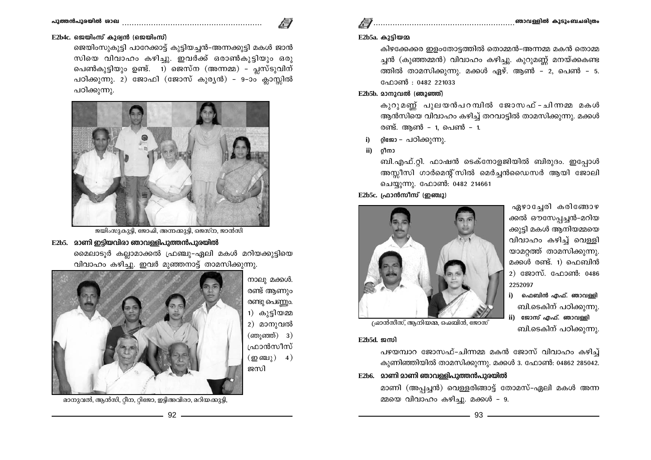ജെയിംസുകുട്ടി പാറേക്കാട്ട് കുട്ടിയച്ചൻ-അന്നക്കുട്ടി മകൾ ജാൻ സിയെ വിവാഹം കഴിച്ചു. ഇവർക്ക് ഒരാൺകുട്ടിയും ഒരു പെൺകുട്ടിയും ഉണ്ട്. 1) ജെസ്ന (അന്നമ്മ) - പ്ലസ്ടുവിന് പഠിക്കുന്നു. 2) ജോഫി (ജോസ് കുരൃൻ) - 9-ാം ക്ലാസ്സിൽ പഠിക്കുന്നു.



ജയിംസുകുട്ടി, ജോഷി, അന്നക്കുട്ടി, ജെസ്ന, ജാൻസി

## E2b5. മാണി ഇടിയവിരാ ഞാവള്ളിപുത്തൻപുരയിൽ

മൈലാടൂർ കല്ലാമാക്കൽ ഫ്രഞ്ചു-ഏലി മകൾ മറിയക്കുട്ടിയെ വിവാഹം കഴിച്ചു. ഇവർ മുഞ്ഞനാട്ട് താമസിക്കുന്നു.

> നാലു മക്കൾ. രണ്ട് ആണും രണ്ടു പെണ്ണും. 1) കുട്ടിയമ്മ 2) മാനുവൽ  $(m)$ ഞ്ഞ്) 3) ഫ്രാൻസീസ്  $(\text{m}\,\text{m})$  4) ജസി



മാനുവൽ, ആൻസി, റ്റീന, റ്റിജോ, ഇട്ടിഅവിരാ, മറിയക്കുട്ടി,

ബി.ടെകിന് പഠിക്കുന്നു.

ബി.ടെകിന് പഠിക്കുന്നു.

## $E2b5a.$  കുട്ടിയമ

കിഴക്കേക്കര ഇളംതോട്ടത്തിൽ തൊമ്മൻ-അന്നമ്മ മകൻ തൊമ്മ ച്ചൻ (കുഞ്ഞമ്മൻ) വിവാഹം കഴിച്ചു. കുറുമണ്ണ് മനയ്ക്കകണ്ട ത്തിൽ താമസിക്കുന്നു. മക്കൾ ഏഴ്. ആൺ - 2, പെൺ - 5. ഫോൺ : 0482 221033

# $E2b5b$ , മാനാവൽ (ഞാഞ്ഞ്)

കുറുമണ്ണ് പുലയൻപറമ്പിൽ ജോസഫ് - ചിന്നമ്മ മകൾ ആൻസിയെ വിവാഹം കഴിച്ച് തറവാട്ടിൽ താമസിക്കുന്നു. മക്കൾ രണ്ട്. ആൺ – 1, പെൺ – 1.

- റിജോ പഠിക്കുന്നു.  $i)$
- റ്റിനാ  $\mathbf{ii}$

ബി.എഫ്.റ്റി. ഫാഷൻ ടെക്നോളജിയിൽ ബിരുദം. ഇപ്പോൾ അസ്സീസി ഗാർമെന്റ്സിൽ മെർച്ചൻഡൈസർ ആയി ജോലി ചെയ്യുന്നു. ഫോൺ: 0482 214661

## $E2b5c.$  പ്രാൻസീസ് (ഇഞ്ചു)



<u>പ്രാൻസീസ്, ആനിയമ്മ, ഐബിൻ, ജോസ്</u>

 $E2h5d$  oml

പഴയമ്പാറ ജോസഫ്-ചിന്നമ്മ മകൻ ജോസ് വിവാഹം കഴിച്ച് കുണിഞ്ഞിയിൽ താമസിക്കുന്നു. മക്കൾ 3. ഫോൺ: 04862 285042.

E2b6. മാണി മാണി ഞാവള്ളിപുത്തൻപുരയിൽ

മാണി (അപ്പച്ചൻ) വെള്ളരിങ്ങാട്ട് തോമസ്-ഏലി മകൾ അന്ന മ്മയെ വിവാഹം കഴിച്ചു. മക്കൾ - 9.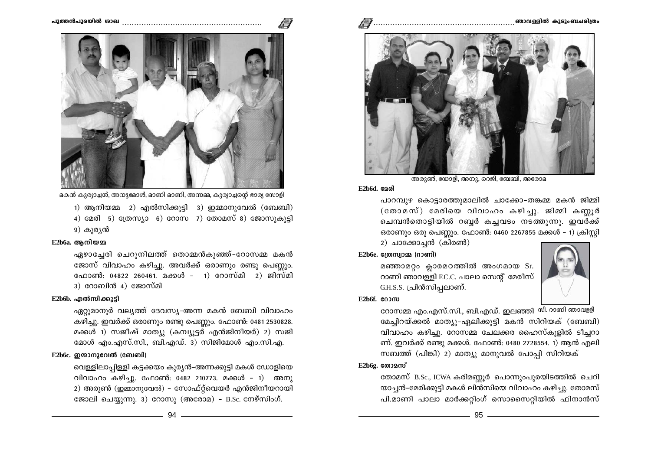



മകൻ കുര്യാച്ചൻ, അനുമോൾ, മാണി മാണി, അന്നമ്മ, കുര്യാച്ചന്റെ ഭാര്യ സോളി

1) ആനിയമ്മ 2) എൽസിക്കുട്ടി 3) ഇമ്മാനുവേൽ (ബേബി) 4) മേരി 5) ത്രേസ്യാ 6) റോസ 7) തോമസ് 8) ജോസുകൂട്ടി 9) കുര്യൻ

#### $E2b6a.$  ആനിയമ

ഏഴാച്ചേരി ചെറുനിലത്ത് തൊമ്മൻകുഞ്ഞ്-റോസമ്മ മകൻ ജോസ് വിവാഹം കഴിച്ചു. അവർക്ക് ഒരാണും രണ്ടു പെണ്ണും. ഫോൺ: 04822 260461. മക്കൾ – 1) റോസ്മി 2) ജിസ്മി  $3)$   $\cos\theta$   $\sin\theta$   $4)$   $\cos\theta$  $\sin\theta$ 

#### E2b6b. എൽസിക്കുട്ടി

ഏറ്റുമാനൂർ വല്യത്ത് ദേവസ്യ-അന്ന മകൻ ബേബി വിവാഹം കഴിച്ചു. ഇവർക്ക് ഒരാണും രണ്ടു പെണ്ണും. ഫോൺ: 0481 2530828. മക്കൾ 1) സജീഷ് മാത്യു (കമ്പ്യൂട്ടർ എൻജിനീയർ) 2) സജി മോൾ എം.എസ്.സി., ബി.എഡ്. 3) സിജിമോൾ എം.സി.എ.

## $E2b6c.$  ഈമാനുവേൽ (ബേബി)

വെള്ളിലാപ്പിള്ളി കട്ടക്കയം കുര്യൻ-അന്നക്കുട്ടി മകൾ ഡോളിയെ വിവാഹം കഴിച്ചു. ഫോൺ: 0482 210773. മക്കൾ – 1) അനു 2) അരുൺ (ഇമ്മാനുവേൽ) - സോഫ്റ്റ്വെയർ എൻജിനീയറായി ജോലി ചെയ്യുന്നു. 3) റോസു (അരോമ) - B.Sc. നേഴ്സിംഗ്.



അരുൺ, ഡോളി, അനു, റെജി, ബേബി, അരോമ

#### $E2b6d.$  $Q3d$

പാറമ്പുഴ കൊട്ടാരത്തുമാലിൽ ചാക്കോ-തങ്കമ്മ മകൻ ജിമ്മി  $(\cos \alpha \pi)$  മേരിയെ വിവാഹം കഴിച്ചു. ജിമ്മി കണ്ണൂർ ചെമ്പൻതൊട്ടിയിൽ റബ്ബർ കച്ചവടം നടത്തുന്നു. ഇവർക്ക് ഒരാണും ഒരു പെണ്ണും. ഫോൺ: 0460 2267855 മക്കൾ – 1) ക്രിസ്റ്റി

2) ചാക്കോച്ചൻ (കിരൺ)

## $E2b6e.$  മ്രേസ്വാമ്മ (റാണി)

മഞ്ഞാമറ്റം ക്ലാരമഠത്തിൽ അംഗമായ Sr. റാണി ഞാവള്ളി F.C.C. പാലാ സെന്റ് മേരീസ് G.H.S.S. പ്രിൻസിപ്പലാണ്.



#### E2b6f. coom

റോസമ്മ എം.എസ്.സി., ബി.എഡ്. ഇലഞ്ഞി <sup>സി. റാണി ഞാവളളി</sup> മേച്ചിറയ്ക്കൽ മാത്യു-ഏലിക്കുട്ടി മകൻ സിറിയക് (ബേബി) വിവാഹം കഴിച്ചു. റോസമ്മ ചേലക്കര ഹൈസ്കുളിൽ ടീച്ചറാ ണ്. ഇവർക്ക് രണ്ടു മക്കൾ. ഫോൺ: 0480 2728554. 1) ആൻ എലി സബത്ത് (പിങ്കി) 2) മാത്യു മാനുവൽ പോപ്പി സിറിയക്

E2b6g. തോമസ്

തോമസ് B.Sc., ICWA കരിമണ്ണൂർ പൊന്നുംപുരയിടത്തിൽ ചെറി യാച്ചൻ-മേരിക്കുട്ടി മകൾ ലിൻസിയെ വിവാഹം കഴിച്ചു. തോമസ് പി.മാണി പാലാ മാർക്കറ്റിംഗ് സൊസൈറ്റിയിൽ ഫിനാൻസ്